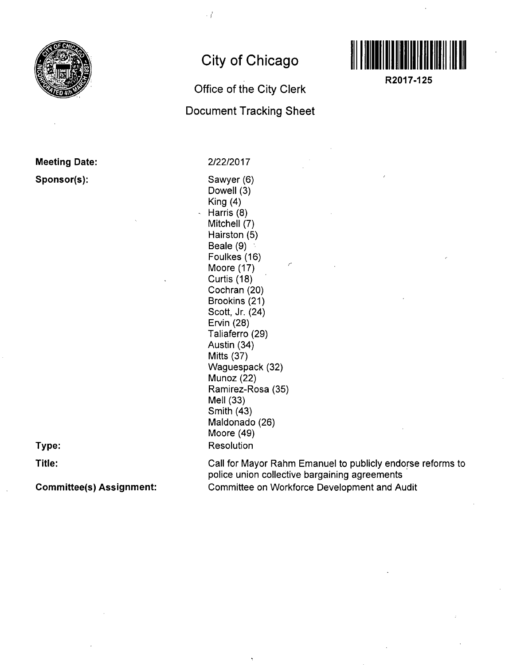

## **Meeting Date: Sponsor(s):**

**Type:** 

**Title:** 

**Committee(s) Assignment:** 

# **City of Chicago**

## **Office of the City Clerk**

**Document Tracking Sheet** 

2/22/2017

 $\cdot$   $\prime$ 

Sawyer (6) Dowell (3) King (4) Harris (8) Mitchell (7) Hairston (5) Beale (9) Foulkes(16) Moore (17) Curtis (18) Cochran (20) Brookins (21) Scott, Jr. (24) Ervin (28) Taliaferro (29) Austin (34) Mitts (37) Waguespack (32) Munoz (22) Ramirez-Rosa (35) Mell (33) Smith (43) Maldonado (26) Moore (49) **Resolution** 



**R2017-125** 

Call for Mayor Rahm Emanuel to publicly endorse reforms to police union collective bargaining agreements Committee on Workforce Development and Audit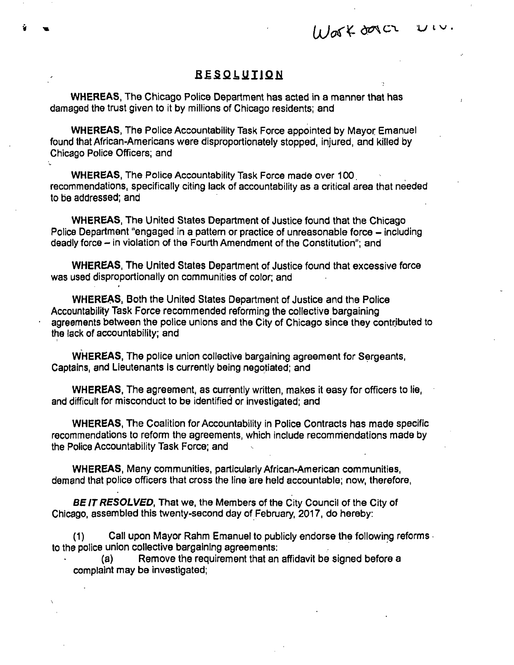Work dover  $U\cup V$ .

#### **BESQLUIION**

WHEREAS, The Chicago Police Department has acted in a manner that has damaged the trust given to it by millions of Chicago residents; and

WHEREAS, The Police Accountability Task Force appointed by Mayor Emanuel found that African-Americans were disproportionately stopped, injured, and killed by Chicago Police Officers; and

WHEREAS, The Police Accountability Task Force made over 100. recommendations, specifically citing lack of accountability as a critical area that needed to be addressed; and

WHEREAS, The United States Department of Justice found that the Chicago Police Department "engaged in a pattern or practice of unreasonable force – including deadly force - in violation of the Fourth Amendment of the Constitution"; and

WHEREAS, The United States Department of Justice found that excessive force was used disproportionally on communities of color; and

WHEREAS, Both the United States Department of Justice and the Police Accountability Task Force recommended reforming the collective bargaining agreements between the police unions and the City of Chicago since they contributed to the lack of accountability; and

WHEREAS, The police union collective bargaining agreement for Sergeants, Captains, and Lieutenants is currently being negotiated; and

WHEREAS, The agreement, as currently written, makes it easy for officers to lie, and difficult for misconduct to be identified or investigated; and

WHEREAS, The Coalition for Accountability in Police Contracts has made specific recommendations to reform the agreements, which include recommendations made by the Police Accountability Task Force; and

WHEREAS, Many communities, particularly African-American communities, demand that police officers that cross the line are held accountable; now, therefore,

BE IT RESOLVED, That we, the Members of the City Council of the City of Chicago, assembled this twenty-second day of February, 2017, do hereby:

(1) Call upon Mayor Rahm Emanuel to publicly endorse the following reforms to the police union collective bargaining agreements:

(a) Remove the requirement that an affidavit be signed before a complaint may be investigated;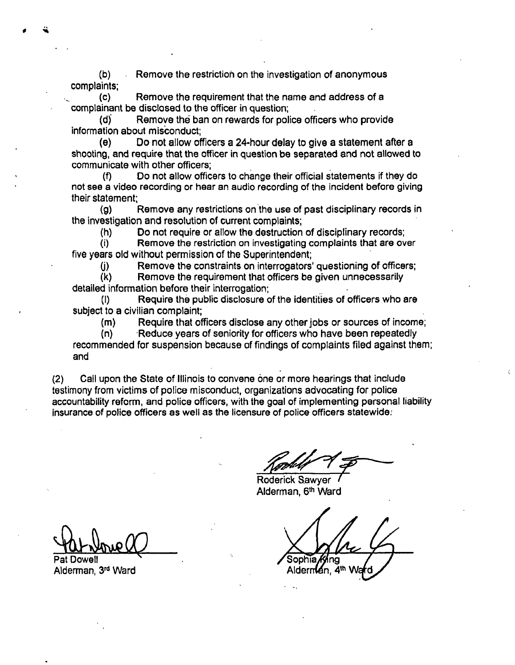**(b) Remove the restriction on the investigation of anonymous complaints;** 

**(c) Remove the requirement that the name and address of a complainant be disclosed to the officer in question;** 

**(d) Remove the ban on rewards for police officers who provide information about misconduct;** 

**(e) Do not allow officers a 24-hour delay to give a statement after a shooting, and require that the officer in question be separated and not allowed to communicate with other officers;** 

**(f) Do not allow officers to change their official statements if they do not see a video recording or hear an audio recording of the incident before giving their statement;** 

**(g) Remove any restrictions on the use of past disciplinary records in the investigation and resolution of current complaints;** 

**(h) Do not require or allow the destruction of disciplinary records;** 

**(i) Remove the restriction on investigating complaints that are over five years old without permission of the Superintendent;** 

**(j) Remove the constraints on interrogators' questioning of officers;** 

**(k) Remove the requirement that officers be given unnecessarily detailed information before their interrogation;** 

**(1) Require the public disclosure of the identities of officers who are subject to a civilian complaint;** 

**(m) Require that officers disclose any other jobs or sources of income;** 

**(n) Reduce years of seniority for officers who have been repeatedly recommended for suspension because of findings of complaints filed against them; and** 

**(2) Call upon the State of Illinois to convene one or more hearings that include testimony from victims of police misconduct, organizations advocating for police accountability reform, and police officers, with the goal of implementing personal liability Insurance of police officers as well as the licensure of police officers statewide;** 

**Roderick Sawyer Alderman, 6"^ Ward** 

Sophia

Aldernian, 4<sup>th</sup> Wa

**Pat Dowell Alderman, 3"^ Ward**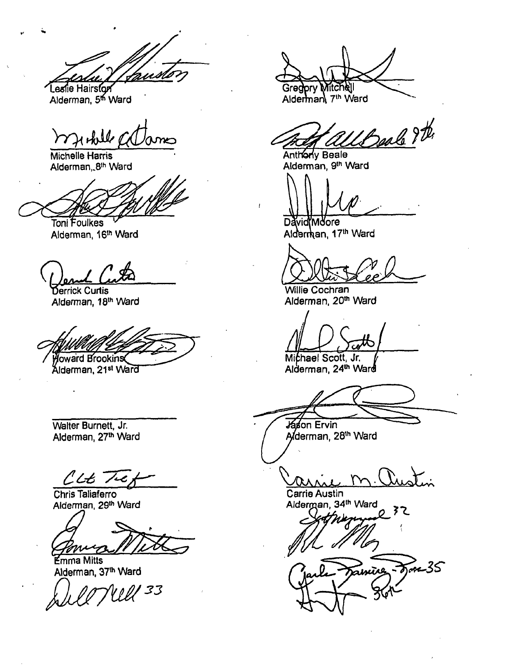Leslie Hairston **Alderman, 5"^ Ward** 

markell

**Michelle Harris Alderman,.8"' Ward** 

**Toni Foulkes**  Alderman, 16<sup>th</sup> Ward

**Derrick Curtis Alderman, 18'" Ward** 

Howard Brookins

Alderman, 21<sup>st</sup> Ward

**Walter Burnett, Jr.**  Alderman, 27th Ward

 $CLE^-$ 

**Chris Taliaferro Alderman, 29"' Ward** 

**Emma Mitts**  Alderman, 37<sup>th</sup> Ward

le Nell<sup>33</sup>

Mitchell Gregpry Alderman 7th Ward

Antiphy Beale (2)

**Alderman, 9'" Ward** 

David**M**dore Alderman, 17<sup>th</sup> Ward

**Willie Cochran Alderman, 20'" Ward** 

**Mithael Scott, Jr. Alderman, 24'" Ward** 

Jáson Ervin Aderman, 28th Ward

Carrie Austin Alderman, 34th Ward

ヌこ

Fre-35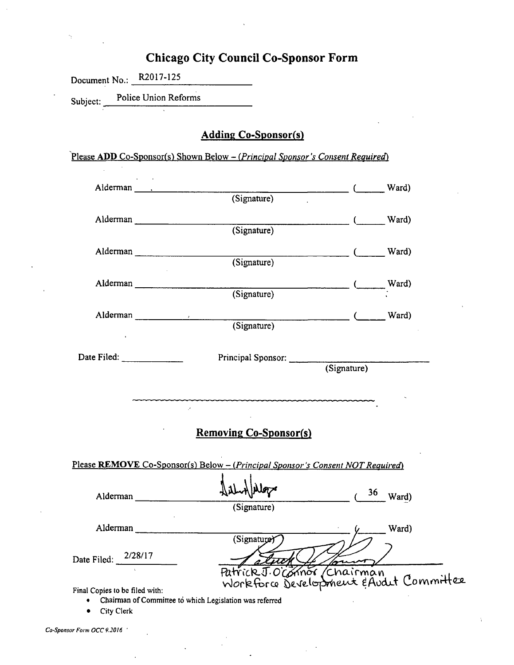# **Chicago City Council Co-Sponsor Form**

Document No.: R2017-125

Subject: Police Union Reforms

### **Adding Co-Sponsor(s)**

#### *Please ADD Co-Sponsor(s) Shown Below - (Principal Sponsor's Consent Required)*

|                                              | Alderman Reserves<br>$\sim$ Ward)<br>(Signature)                                                                            |                     |       |  |  |
|----------------------------------------------|-----------------------------------------------------------------------------------------------------------------------------|---------------------|-------|--|--|
| Alderman                                     | $\sim$ Ward)<br>(Signature)                                                                                                 |                     |       |  |  |
| Alderman                                     | $\frac{1}{2}$ ( $\frac{1}{2}$ Ward)<br>(Signature)                                                                          |                     |       |  |  |
|                                              | Alderman<br>(Signature)                                                                                                     |                     |       |  |  |
| Alderman Julian March 2014                   | (Signature) Case Ward)                                                                                                      |                     |       |  |  |
| Date Filed: $\frac{1}{2}$                    | Principal Sponsor:<br>(Signature)                                                                                           |                     |       |  |  |
|                                              | $\mathcal{F}$<br><b>Removing Co-Sponsor(s)</b>                                                                              |                     |       |  |  |
|                                              | Please REMOVE Co-Sponsor(s) Below - (Principal Sponsor's Consent NOT Required)                                              |                     |       |  |  |
| Alderman                                     | (Signature)                                                                                                                 | $(36 \text{ Ward})$ |       |  |  |
| Alderman                                     | (Signature)                                                                                                                 |                     | Ward) |  |  |
| 2/28/17<br>Date Filed:                       |                                                                                                                             |                     |       |  |  |
| Final Copies to be filed with:<br>City Clerk | Patrick J. O' Chairman<br>Workforg Development & Audit Committee<br>Chairman of Committee to which Legislation was referred |                     |       |  |  |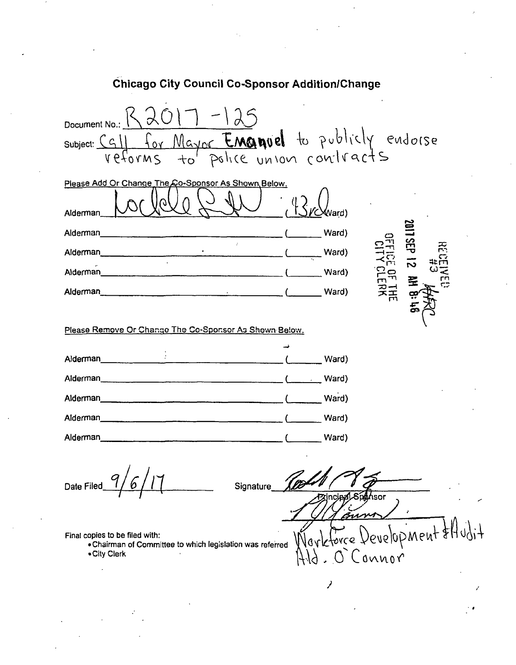| Document No.:<br>subject: CG11 for Mayor Emanuel to publicly endorse                                                                                                                                                                                                                                                                                                                                                     |                                           |                        |
|--------------------------------------------------------------------------------------------------------------------------------------------------------------------------------------------------------------------------------------------------------------------------------------------------------------------------------------------------------------------------------------------------------------------------|-------------------------------------------|------------------------|
| Please Add Or Change The Co-Sponsor As Shown Below.<br>Alderman                                                                                                                                                                                                                                                                                                                                                          | (Vard                                     |                        |
| Alderman<br>Alderman<br><u> Indian American State (Indian American State Communication State Communication State Communication State Communication (Indian American State Communication State Communication State Communication State Communication Stat</u><br>Alderman<br>$\overline{a}$ and $\overline{a}$ and $\overline{a}$ and $\overline{a}$ and $\overline{a}$ and $\overline{a}$ and $\overline{a}$<br>Alderman | Ward)<br>Ward)<br>Ward)<br>Ward)          | 로<br>č<br>$\mathbf{f}$ |
| Please Remove Or Change The Co-Sponsor As Shown Below.                                                                                                                                                                                                                                                                                                                                                                   |                                           |                        |
| Alderman <sub>11</sub><br>Alderman___<br>Alderman                                                                                                                                                                                                                                                                                                                                                                        | Ward)<br>Ward)<br>Ward)<br>Ward)<br>Ward) |                        |
| Date Filed<br>Signature<br>Final copies to be filed with:<br>. Chairman of Committee to which legislation was referred<br>• City Clerk                                                                                                                                                                                                                                                                                   | :incipal<br>Vovk<br>Connor                | hsor<br>evelopment \$H |
|                                                                                                                                                                                                                                                                                                                                                                                                                          |                                           |                        |
|                                                                                                                                                                                                                                                                                                                                                                                                                          |                                           |                        |

 $\ddot{\phantom{a}}$ 

J.

Chicago City Council Co-Sponsor Addition/Change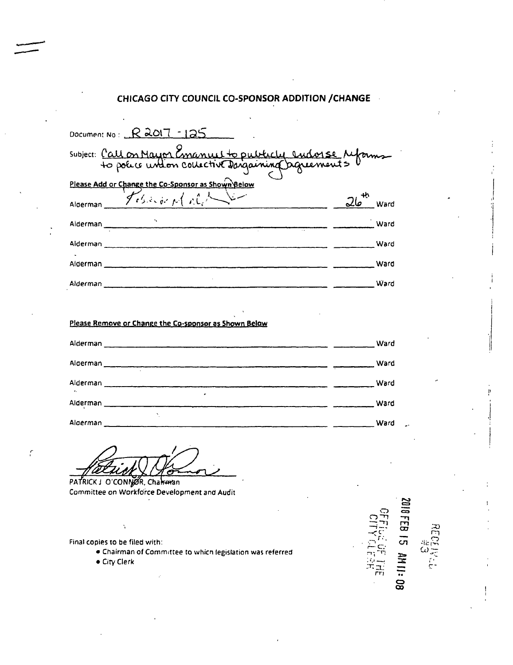#### **CHICAGO CITY COUNCIL CO-SPONSOR ADDITION / CHANGE**

| Document No: $R$ 2017 - 125                                                                                  |             |  |  |  |  |  |
|--------------------------------------------------------------------------------------------------------------|-------------|--|--|--|--|--|
| Subject: <u>Call on Mayor Concentre to publicly</u> sudorse reforms                                          |             |  |  |  |  |  |
| Please Add or Change the Co-Sponsor as Shown Below                                                           |             |  |  |  |  |  |
| Alderman Tebrico pl r.C.                                                                                     | $26$ Ward   |  |  |  |  |  |
|                                                                                                              | <b>Ward</b> |  |  |  |  |  |
|                                                                                                              |             |  |  |  |  |  |
|                                                                                                              |             |  |  |  |  |  |
|                                                                                                              | Ward        |  |  |  |  |  |
|                                                                                                              |             |  |  |  |  |  |
| Please Remove or Change the Co-sponsor as Shown Below                                                        |             |  |  |  |  |  |
|                                                                                                              | Ward        |  |  |  |  |  |
|                                                                                                              | Ward        |  |  |  |  |  |
| Alderman <b>Alderman Communication of the Communication</b> Communication of the Communication Communication | Ward        |  |  |  |  |  |
|                                                                                                              | <b>Ward</b> |  |  |  |  |  |
|                                                                                                              |             |  |  |  |  |  |
|                                                                                                              |             |  |  |  |  |  |

Ć

PATRICK J O'CONNOR, Charman Committee on Workforce Development and Audit

Final copies to be filed with:

Ñ

 $\mathcal{C}_{\mathbf{r}}$ 

. Chairman of Committee to which legislation was referred

· City Clerk

2010 FEB 15 AM 11:08 -1.<br>""1

ġ.